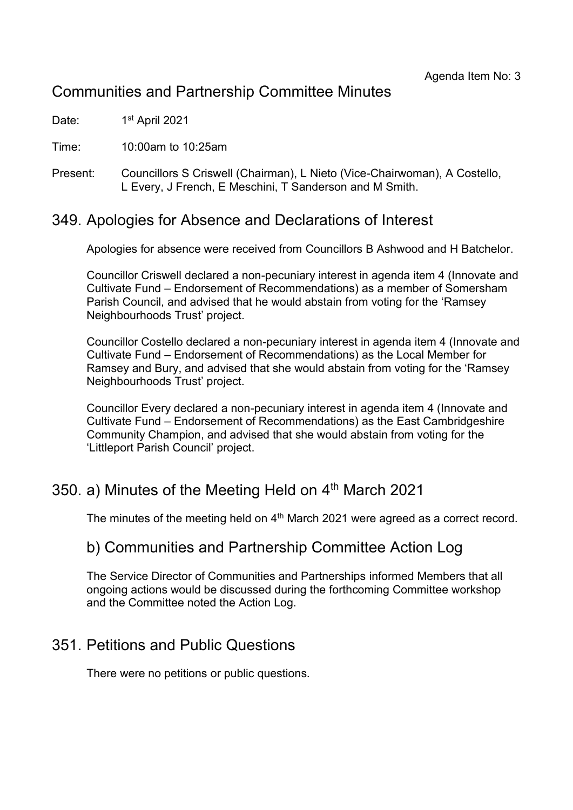# Communities and Partnership Committee Minutes

Date: 1st April 2021

Time: 10:00am to 10:25am

Present: Councillors S Criswell (Chairman), L Nieto (Vice-Chairwoman), A Costello, L Every, J French, E Meschini, T Sanderson and M Smith.

### 349. Apologies for Absence and Declarations of Interest

Apologies for absence were received from Councillors B Ashwood and H Batchelor.

Councillor Criswell declared a non-pecuniary interest in agenda item 4 (Innovate and Cultivate Fund – Endorsement of Recommendations) as a member of Somersham Parish Council, and advised that he would abstain from voting for the 'Ramsey Neighbourhoods Trust' project.

Councillor Costello declared a non-pecuniary interest in agenda item 4 (Innovate and Cultivate Fund – Endorsement of Recommendations) as the Local Member for Ramsey and Bury, and advised that she would abstain from voting for the 'Ramsey Neighbourhoods Trust' project.

Councillor Every declared a non-pecuniary interest in agenda item 4 (Innovate and Cultivate Fund – Endorsement of Recommendations) as the East Cambridgeshire Community Champion, and advised that she would abstain from voting for the 'Littleport Parish Council' project.

# 350. a) Minutes of the Meeting Held on  $4<sup>th</sup>$  March 2021

The minutes of the meeting held on 4<sup>th</sup> March 2021 were agreed as a correct record.

### b) Communities and Partnership Committee Action Log

The Service Director of Communities and Partnerships informed Members that all ongoing actions would be discussed during the forthcoming Committee workshop and the Committee noted the Action Log.

# 351. Petitions and Public Questions

There were no petitions or public questions.